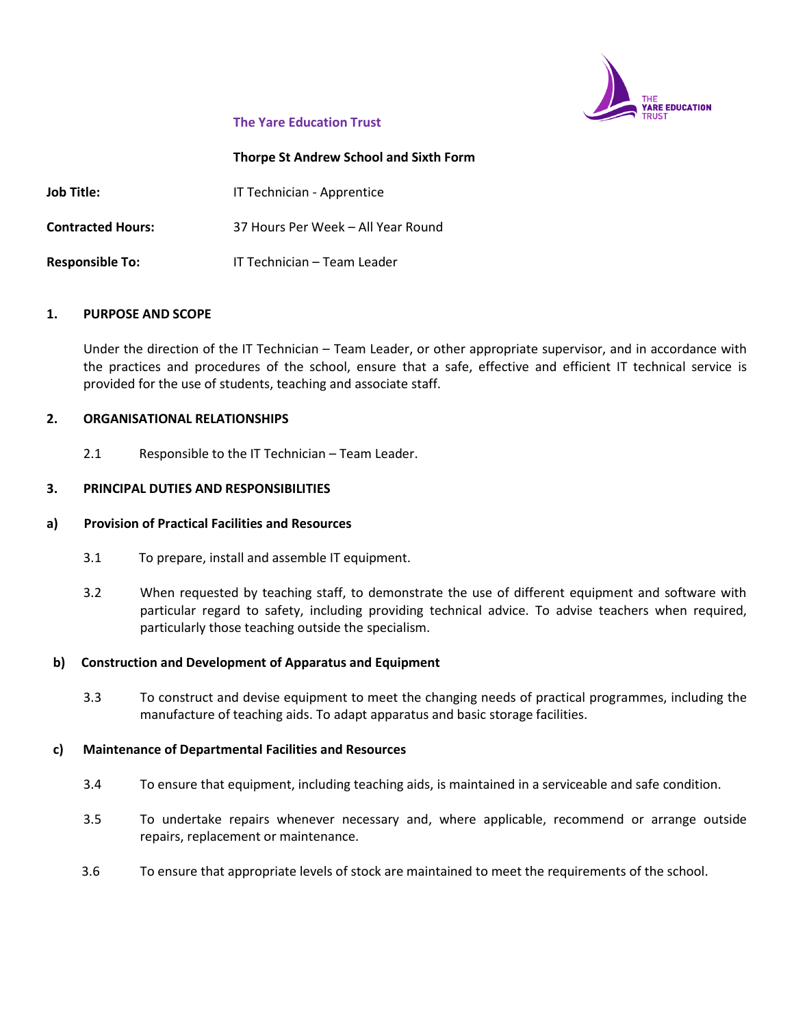

## **The Yare Education Trust**

### **Thorpe St Andrew School and Sixth Form**

**Job Title: IT Technician - Apprentice Contracted Hours:** 37 Hours Per Week – All Year Round **Responsible To:** IT Technician – Team Leader

### **1. PURPOSE AND SCOPE**

Under the direction of the IT Technician – Team Leader, or other appropriate supervisor, and in accordance with the practices and procedures of the school, ensure that a safe, effective and efficient IT technical service is provided for the use of students, teaching and associate staff.

## **2. ORGANISATIONAL RELATIONSHIPS**

2.1 Responsible to the IT Technician – Team Leader.

## **3. PRINCIPAL DUTIES AND RESPONSIBILITIES**

### **a) Provision of Practical Facilities and Resources**

- 3.1 To prepare, install and assemble IT equipment.
- 3.2 When requested by teaching staff, to demonstrate the use of different equipment and software with particular regard to safety, including providing technical advice. To advise teachers when required, particularly those teaching outside the specialism.

### **b) Construction and Development of Apparatus and Equipment**

3.3 To construct and devise equipment to meet the changing needs of practical programmes, including the manufacture of teaching aids. To adapt apparatus and basic storage facilities.

### **c) Maintenance of Departmental Facilities and Resources**

- 3.4 To ensure that equipment, including teaching aids, is maintained in a serviceable and safe condition.
- 3.5 To undertake repairs whenever necessary and, where applicable, recommend or arrange outside repairs, replacement or maintenance.
- 3.6 To ensure that appropriate levels of stock are maintained to meet the requirements of the school.